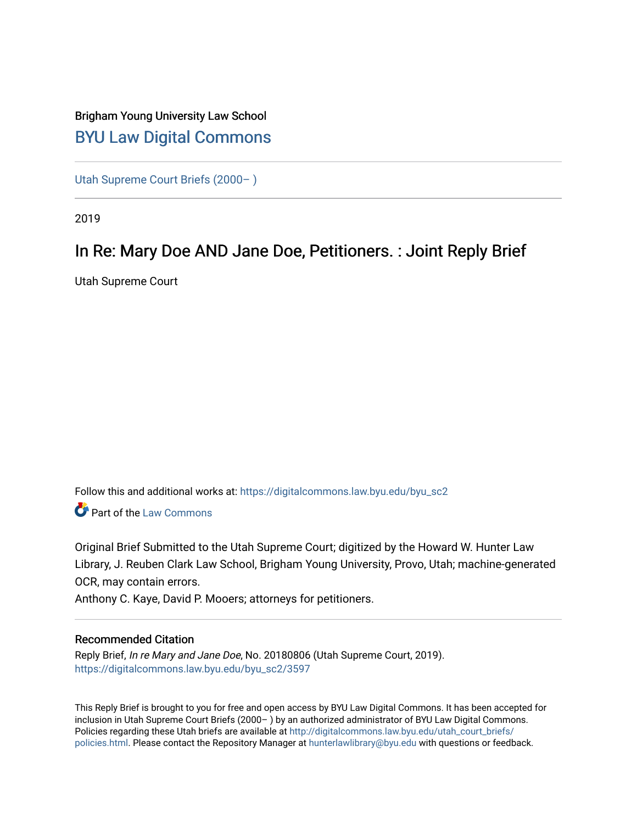## Brigham Young University Law School [BYU Law Digital Commons](https://digitalcommons.law.byu.edu/)

[Utah Supreme Court Briefs \(2000– \)](https://digitalcommons.law.byu.edu/byu_sc2)

2019

# In Re: Mary Doe AND Jane Doe, Petitioners. : Joint Reply Brief

Utah Supreme Court

Follow this and additional works at: [https://digitalcommons.law.byu.edu/byu\\_sc2](https://digitalcommons.law.byu.edu/byu_sc2?utm_source=digitalcommons.law.byu.edu%2Fbyu_sc2%2F3597&utm_medium=PDF&utm_campaign=PDFCoverPages) 

**Part of the [Law Commons](https://network.bepress.com/hgg/discipline/578?utm_source=digitalcommons.law.byu.edu%2Fbyu_sc2%2F3597&utm_medium=PDF&utm_campaign=PDFCoverPages)** 

Original Brief Submitted to the Utah Supreme Court; digitized by the Howard W. Hunter Law Library, J. Reuben Clark Law School, Brigham Young University, Provo, Utah; machine-generated OCR, may contain errors.

Anthony C. Kaye, David P. Mooers; attorneys for petitioners.

#### Recommended Citation

Reply Brief, In re Mary and Jane Doe, No. 20180806 (Utah Supreme Court, 2019). [https://digitalcommons.law.byu.edu/byu\\_sc2/3597](https://digitalcommons.law.byu.edu/byu_sc2/3597?utm_source=digitalcommons.law.byu.edu%2Fbyu_sc2%2F3597&utm_medium=PDF&utm_campaign=PDFCoverPages)

This Reply Brief is brought to you for free and open access by BYU Law Digital Commons. It has been accepted for inclusion in Utah Supreme Court Briefs (2000– ) by an authorized administrator of BYU Law Digital Commons. Policies regarding these Utah briefs are available at [http://digitalcommons.law.byu.edu/utah\\_court\\_briefs/](http://digitalcommons.law.byu.edu/utah_court_briefs/policies.html) [policies.html](http://digitalcommons.law.byu.edu/utah_court_briefs/policies.html). Please contact the Repository Manager at hunterlawlibrary@byu.edu with questions or feedback.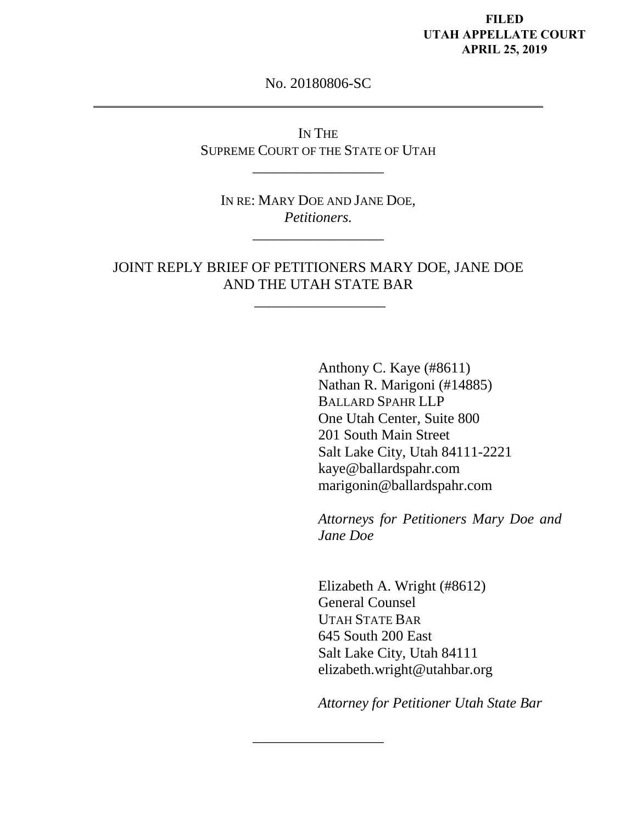#### **FILED UTAH APPELLATE COURT APRIL 25, 2019**

No. 20180806-SC

IN THE SUPREME COURT OF THE STATE OF UTAH

\_\_\_\_\_\_\_\_\_\_\_\_\_\_\_\_\_\_

IN RE: MARY DOE AND JANE DOE, *Petitioners.* 

\_\_\_\_\_\_\_\_\_\_\_\_\_\_\_\_\_\_

JOINT REPLY BRIEF OF PETITIONERS MARY DOE, JANE DOE AND THE UTAH STATE BAR

 $\frac{1}{\sqrt{2\pi}}\left[\frac{1}{2(1-\frac{1}{2})^2}\right]$ 

\_\_\_\_\_\_\_\_\_\_\_\_\_\_\_\_\_\_

Anthony C. Kaye (#8611) Nathan R. Marigoni (#14885) BALLARD SPAHR LLP One Utah Center, Suite 800 201 South Main Street Salt Lake City, Utah 84111-2221 [kaye@ballardspahr.com](mailto:kaye@ballardspahr.com) marigonin@ballardspahr.com

*Attorneys for Petitioners Mary Doe and Jane Doe* 

Elizabeth A. Wright (#8612) General Counsel UTAH STATE BAR 645 South 200 East Salt Lake City, Utah 84111 elizabeth.wright@utahbar.org

*Attorney for Petitioner Utah State Bar*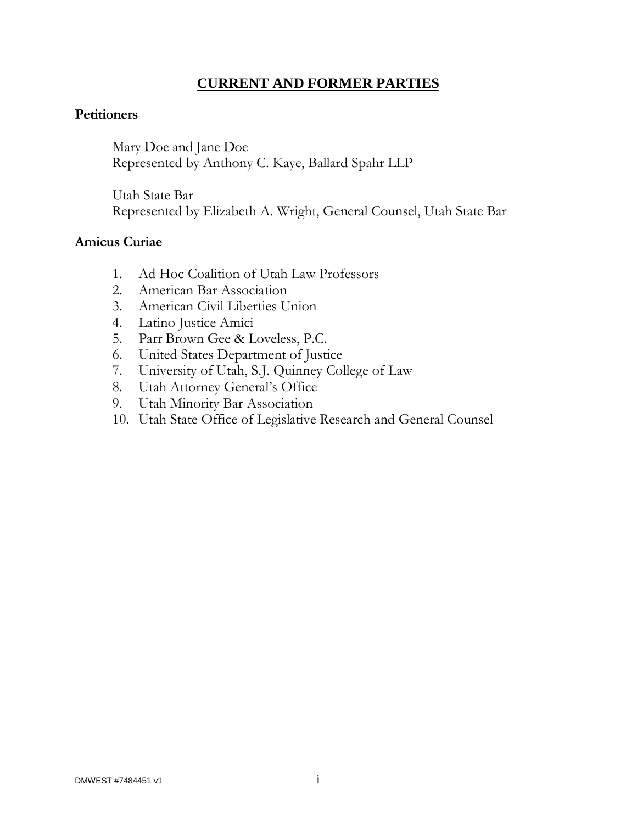## **CURRENT AND FORMER PARTIES**

#### **Petitioners**

Mary Doe and Jane Doe Represented by Anthony C. Kaye, Ballard Spahr LLP

Utah State Bar Represented by Elizabeth A. Wright, General Counsel, Utah State Bar

### **Amicus Curiae**

- 1. Ad Hoc Coalition of Utah Law Professors
- 2. American Bar Association
- 3. American Civil Liberties Union
- 4. Latino Justice Amici
- 5. Parr Brown Gee & Loveless, P.C.
- 6. United States Department of Justice
- 7. University of Utah, S.J. Quinney College of Law
- 8. Utah Attorney General's Office
- 9. Utah Minority Bar Association
- 10. Utah State Office of Legislative Research and General Counsel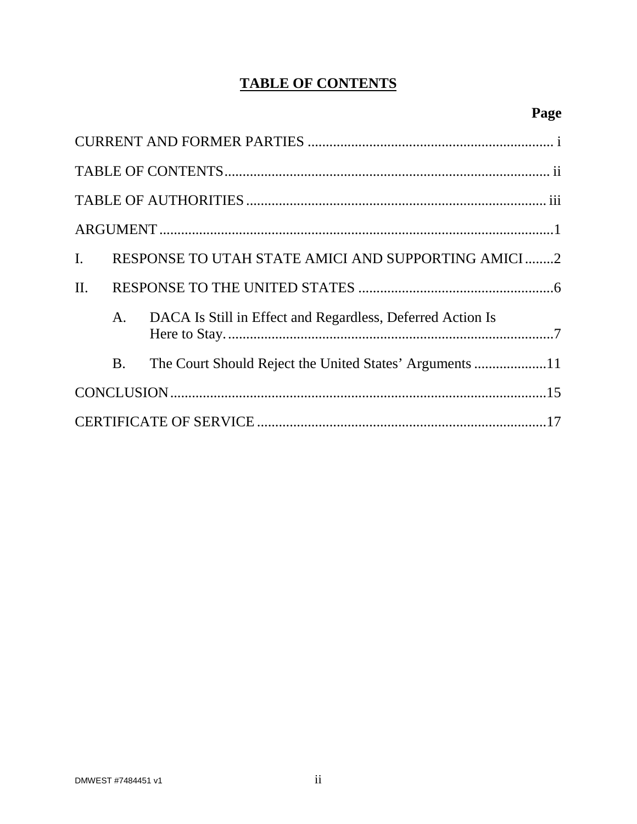# **TABLE OF CONTENTS**

| $\mathbf{I}$ . |           | RESPONSE TO UTAH STATE AMICI AND SUPPORTING AMICI2            |  |
|----------------|-----------|---------------------------------------------------------------|--|
| II.            |           |                                                               |  |
|                |           | A. DACA Is Still in Effect and Regardless, Deferred Action Is |  |
|                | <b>B.</b> | The Court Should Reject the United States' Arguments 11       |  |
|                |           |                                                               |  |
|                |           |                                                               |  |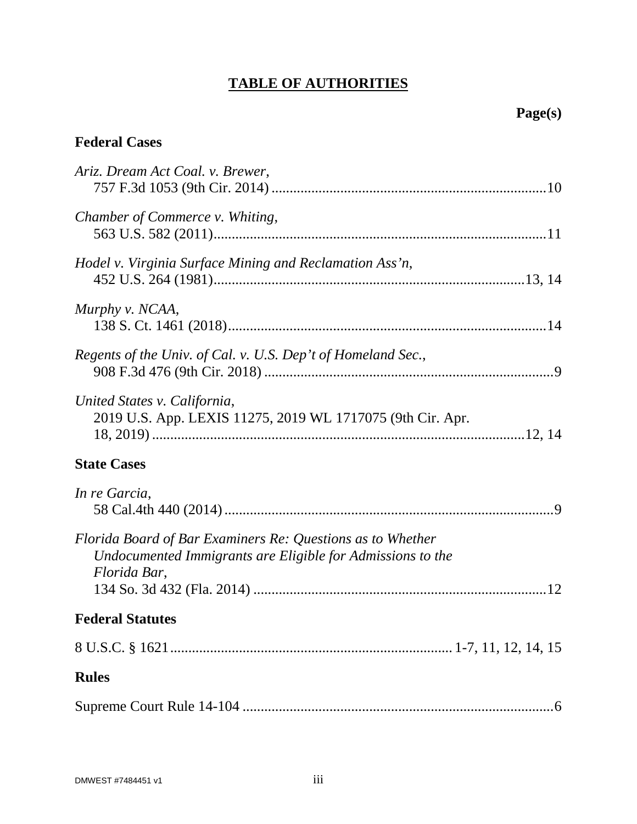# **TABLE OF AUTHORITIES**

## **Federal Cases**

| Ariz. Dream Act Coal. v. Brewer,                                                                                                         |
|------------------------------------------------------------------------------------------------------------------------------------------|
| Chamber of Commerce v. Whiting,                                                                                                          |
| Hodel v. Virginia Surface Mining and Reclamation Ass'n,                                                                                  |
| Murphy v. NCAA,                                                                                                                          |
| Regents of the Univ. of Cal. v. U.S. Dep't of Homeland Sec.,                                                                             |
| United States v. California,<br>2019 U.S. App. LEXIS 11275, 2019 WL 1717075 (9th Cir. Apr.                                               |
| <b>State Cases</b>                                                                                                                       |
| In re Garcia,                                                                                                                            |
| Florida Board of Bar Examiners Re: Questions as to Whether<br>Undocumented Immigrants are Eligible for Admissions to the<br>Florida Bar, |
| <b>Federal Statutes</b>                                                                                                                  |
|                                                                                                                                          |
| <b>Rules</b>                                                                                                                             |
|                                                                                                                                          |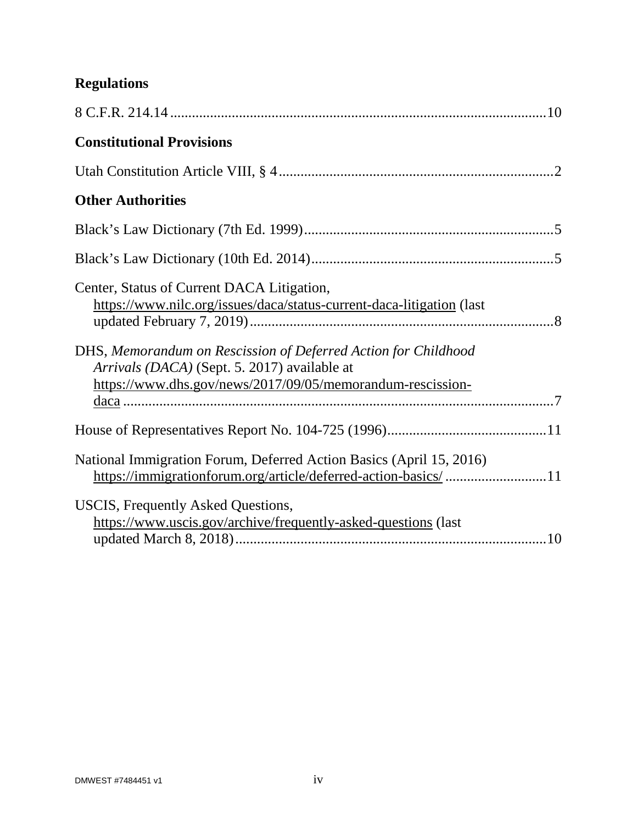# **Regulations**

| <b>Constitutional Provisions</b>                                                                                                                                             |
|------------------------------------------------------------------------------------------------------------------------------------------------------------------------------|
|                                                                                                                                                                              |
| <b>Other Authorities</b>                                                                                                                                                     |
|                                                                                                                                                                              |
|                                                                                                                                                                              |
| Center, Status of Current DACA Litigation,<br>https://www.nilc.org/issues/daca/status-current-daca-litigation (last                                                          |
| DHS, Memorandum on Rescission of Deferred Action for Childhood<br>Arrivals (DACA) (Sept. 5. 2017) available at<br>https://www.dhs.gov/news/2017/09/05/memorandum-rescission- |
|                                                                                                                                                                              |
| National Immigration Forum, Deferred Action Basics (April 15, 2016)<br>https://immigrationforum.org/article/deferred-action-basics/ 11                                       |
| <b>USCIS, Frequently Asked Questions,</b><br>https://www.uscis.gov/archive/frequently-asked-questions (last                                                                  |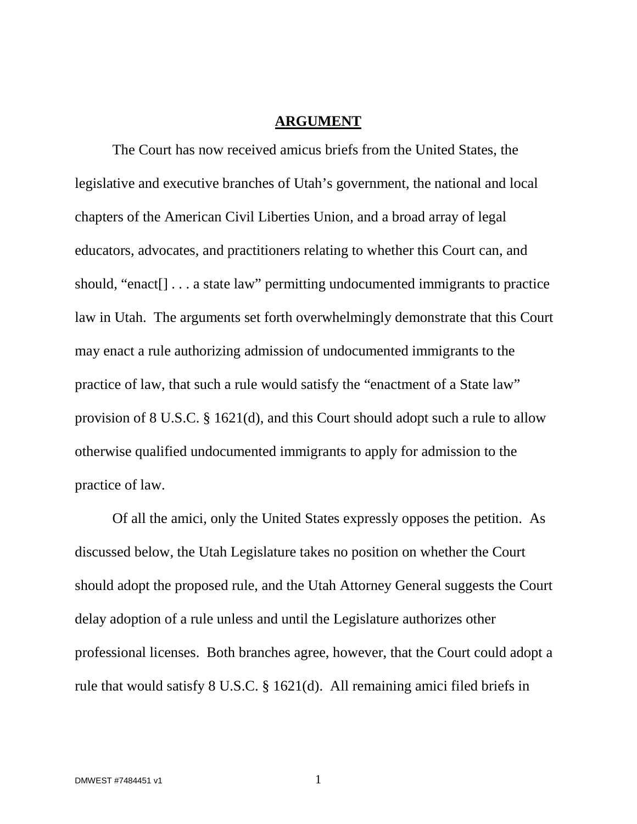#### **ARGUMENT**

The Court has now received amicus briefs from the United States, the legislative and executive branches of Utah's government, the national and local chapters of the American Civil Liberties Union, and a broad array of legal educators, advocates, and practitioners relating to whether this Court can, and should, "enact[] . . . a state law" permitting undocumented immigrants to practice law in Utah. The arguments set forth overwhelmingly demonstrate that this Court may enact a rule authorizing admission of undocumented immigrants to the practice of law, that such a rule would satisfy the "enactment of a State law" provision of 8 U.S.C. § 1621(d), and this Court should adopt such a rule to allow otherwise qualified undocumented immigrants to apply for admission to the practice of law.

Of all the amici, only the United States expressly opposes the petition. As discussed below, the Utah Legislature takes no position on whether the Court should adopt the proposed rule, and the Utah Attorney General suggests the Court delay adoption of a rule unless and until the Legislature authorizes other professional licenses. Both branches agree, however, that the Court could adopt a rule that would satisfy 8 U.S.C. § 1621(d). All remaining amici filed briefs in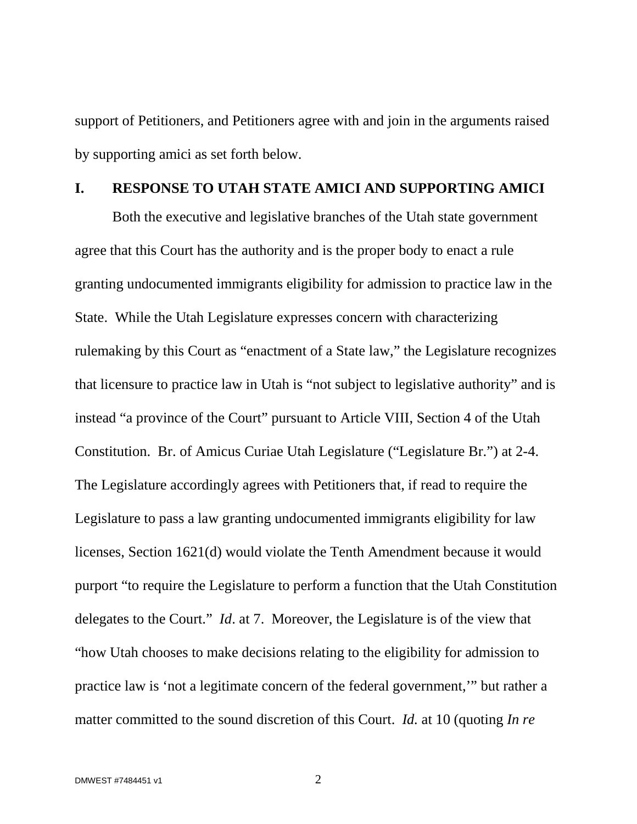support of Petitioners, and Petitioners agree with and join in the arguments raised by supporting amici as set forth below.

#### **I. RESPONSE TO UTAH STATE AMICI AND SUPPORTING AMICI**

<span id="page-7-0"></span>Both the executive and legislative branches of the Utah state government agree that this Court has the authority and is the proper body to enact a rule granting undocumented immigrants eligibility for admission to practice law in the State. While the Utah Legislature expresses concern with characterizing rulemaking by this Court as "enactment of a State law," the Legislature recognizes that licensure to practice law in Utah is "not subject to legislative authority" and is instead "a province of the Court" pursuant to Article VIII, Section 4 of the Utah Constitution. Br. of Amicus Curiae Utah Legislature ("Legislature Br.") at 2-4. The Legislature accordingly agrees with Petitioners that, if read to require the Legislature to pass a law granting undocumented immigrants eligibility for law licenses, Section 1621(d) would violate the Tenth Amendment because it would purport "to require the Legislature to perform a function that the Utah Constitution delegates to the Court." *Id*. at 7. Moreover, the Legislature is of the view that "how Utah chooses to make decisions relating to the eligibility for admission to practice law is 'not a legitimate concern of the federal government,'" but rather a matter committed to the sound discretion of this Court. *Id.* at 10 (quoting *In re*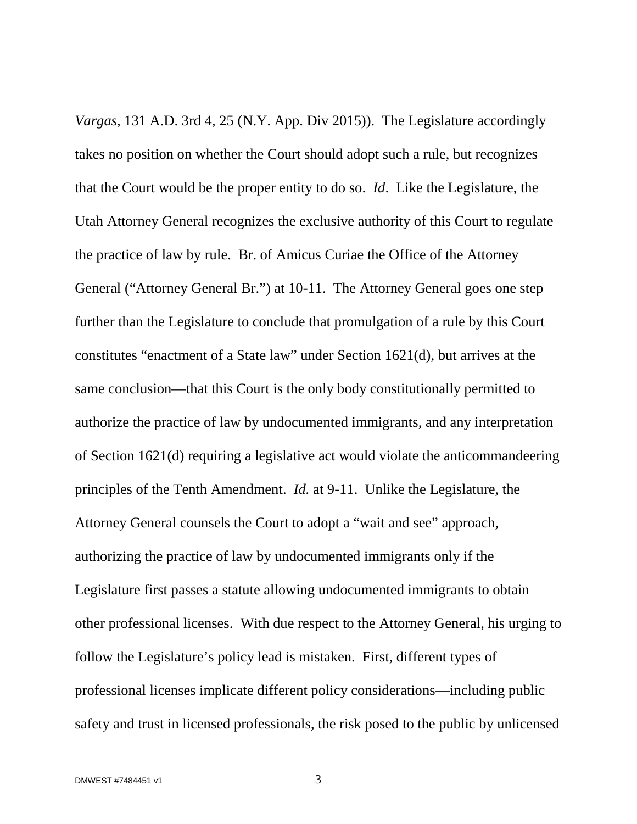*Vargas*, 131 A.D. 3rd 4, 25 (N.Y. App. Div 2015)). The Legislature accordingly takes no position on whether the Court should adopt such a rule, but recognizes that the Court would be the proper entity to do so. *Id*. Like the Legislature, the Utah Attorney General recognizes the exclusive authority of this Court to regulate the practice of law by rule. Br. of Amicus Curiae the Office of the Attorney General ("Attorney General Br.") at 10-11. The Attorney General goes one step further than the Legislature to conclude that promulgation of a rule by this Court constitutes "enactment of a State law" under Section 1621(d), but arrives at the same conclusion—that this Court is the only body constitutionally permitted to authorize the practice of law by undocumented immigrants, and any interpretation of Section 1621(d) requiring a legislative act would violate the anticommandeering principles of the Tenth Amendment. *Id.* at 9-11. Unlike the Legislature, the Attorney General counsels the Court to adopt a "wait and see" approach, authorizing the practice of law by undocumented immigrants only if the Legislature first passes a statute allowing undocumented immigrants to obtain other professional licenses. With due respect to the Attorney General, his urging to follow the Legislature's policy lead is mistaken. First, different types of professional licenses implicate different policy considerations—including public safety and trust in licensed professionals, the risk posed to the public by unlicensed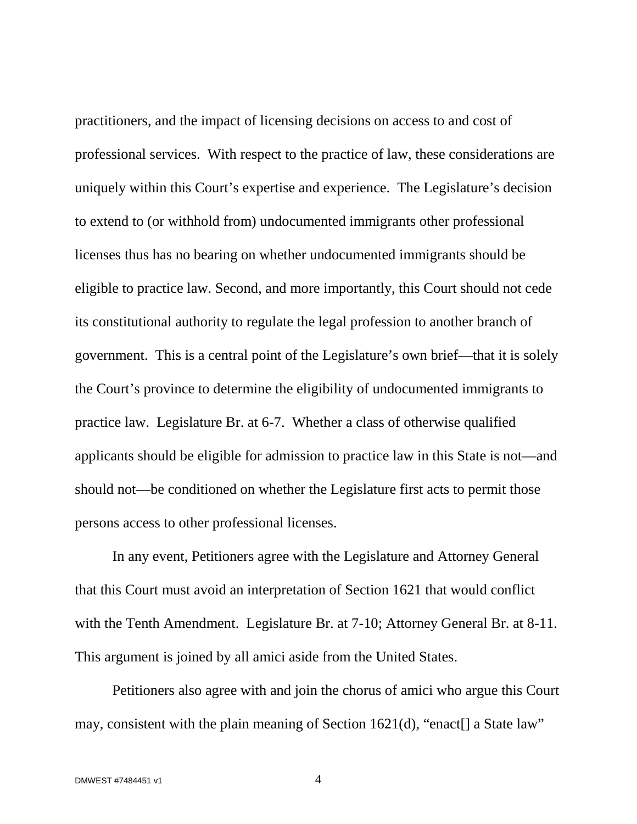practitioners, and the impact of licensing decisions on access to and cost of professional services. With respect to the practice of law, these considerations are uniquely within this Court's expertise and experience. The Legislature's decision to extend to (or withhold from) undocumented immigrants other professional licenses thus has no bearing on whether undocumented immigrants should be eligible to practice law. Second, and more importantly, this Court should not cede its constitutional authority to regulate the legal profession to another branch of government. This is a central point of the Legislature's own brief—that it is solely the Court's province to determine the eligibility of undocumented immigrants to practice law. Legislature Br. at 6-7. Whether a class of otherwise qualified applicants should be eligible for admission to practice law in this State is not—and should not—be conditioned on whether the Legislature first acts to permit those persons access to other professional licenses.

In any event, Petitioners agree with the Legislature and Attorney General that this Court must avoid an interpretation of Section 1621 that would conflict with the Tenth Amendment. Legislature Br. at 7-10; Attorney General Br. at 8-11. This argument is joined by all amici aside from the United States.

Petitioners also agree with and join the chorus of amici who argue this Court may, consistent with the plain meaning of Section 1621(d), "enact[] a State law"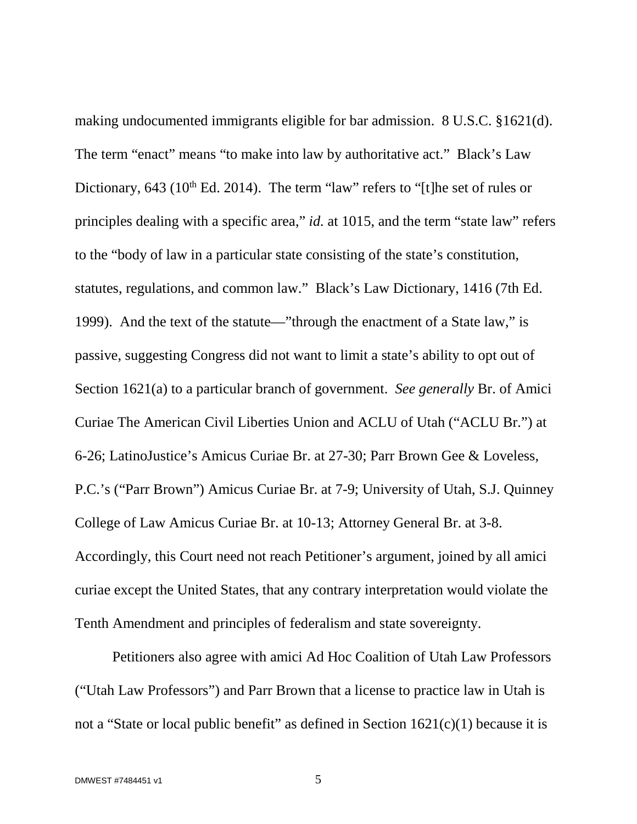<span id="page-10-1"></span><span id="page-10-0"></span>making undocumented immigrants eligible for bar admission. 8 U.S.C. §1621(d). The term "enact" means "to make into law by authoritative act." Black's Law Dictionary, 643 ( $10<sup>th</sup>$  Ed. 2014). The term "law" refers to "[t]he set of rules or principles dealing with a specific area," *id.* at 1015, and the term "state law" refers to the "body of law in a particular state consisting of the state's constitution, statutes, regulations, and common law." Black's Law Dictionary, 1416 (7th Ed. 1999). And the text of the statute—"through the enactment of a State law," is passive, suggesting Congress did not want to limit a state's ability to opt out of Section 1621(a) to a particular branch of government. *See generally* Br. of Amici Curiae The American Civil Liberties Union and ACLU of Utah ("ACLU Br.") at 6-26; LatinoJustice's Amicus Curiae Br. at 27-30; Parr Brown Gee & Loveless, P.C.'s ("Parr Brown") Amicus Curiae Br. at 7-9; University of Utah, S.J. Quinney College of Law Amicus Curiae Br. at 10-13; Attorney General Br. at 3-8. Accordingly, this Court need not reach Petitioner's argument, joined by all amici curiae except the United States, that any contrary interpretation would violate the Tenth Amendment and principles of federalism and state sovereignty.

Petitioners also agree with amici Ad Hoc Coalition of Utah Law Professors ("Utah Law Professors") and Parr Brown that a license to practice law in Utah is not a "State or local public benefit" as defined in Section 1621(c)(1) because it is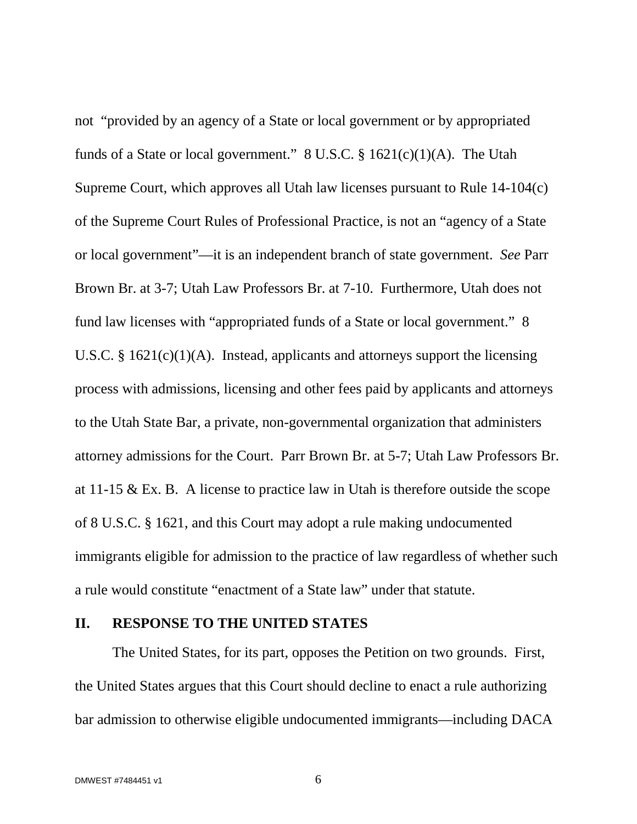<span id="page-11-0"></span>not "provided by an agency of a State or local government or by appropriated funds of a State or local government."  $8 \text{ U.S.C.}$   $\frac{6}{5} \cdot 1621(c)(1)(\text{A})$ . The Utah Supreme Court, which approves all Utah law licenses pursuant to Rule 14-104(c) of the Supreme Court Rules of Professional Practice, is not an "agency of a State or local government"—it is an independent branch of state government. *See* Parr Brown Br. at 3-7; Utah Law Professors Br. at 7-10. Furthermore, Utah does not fund law licenses with "appropriated funds of a State or local government." 8 U.S.C. §  $1621(c)(1)(A)$ . Instead, applicants and attorneys support the licensing process with admissions, licensing and other fees paid by applicants and attorneys to the Utah State Bar, a private, non-governmental organization that administers attorney admissions for the Court. Parr Brown Br. at 5-7; Utah Law Professors Br. at 11-15 & Ex. B. A license to practice law in Utah is therefore outside the scope of 8 U.S.C. § 1621, and this Court may adopt a rule making undocumented immigrants eligible for admission to the practice of law regardless of whether such a rule would constitute "enactment of a State law" under that statute.

### **II. RESPONSE TO THE UNITED STATES**

The United States, for its part, opposes the Petition on two grounds. First, the United States argues that this Court should decline to enact a rule authorizing bar admission to otherwise eligible undocumented immigrants—including DACA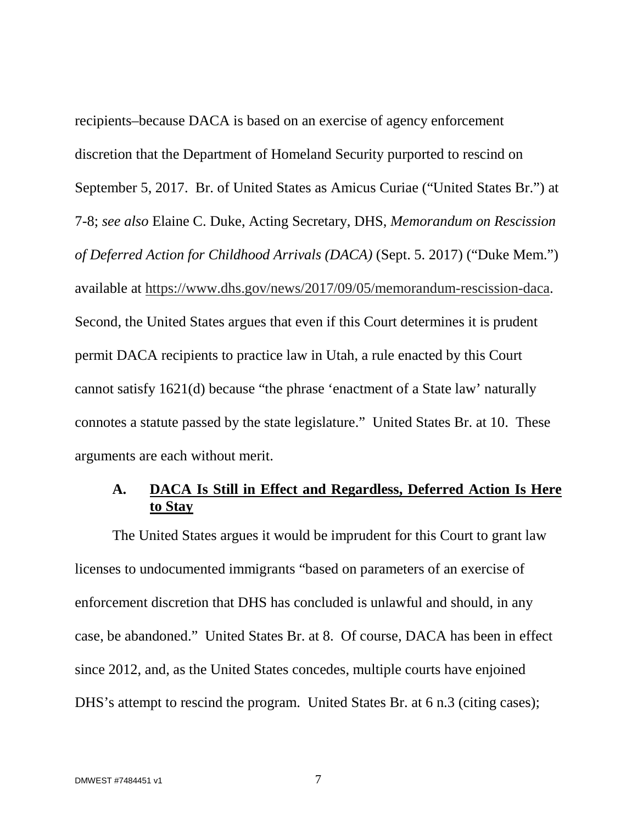<span id="page-12-0"></span>recipients–because DACA is based on an exercise of agency enforcement discretion that the Department of Homeland Security purported to rescind on September 5, 2017. Br. of United States as Amicus Curiae ("United States Br.") at 7-8; *see also* Elaine C. Duke, Acting Secretary, DHS, *Memorandum on Rescission of Deferred Action for Childhood Arrivals (DACA)* (Sept. 5. 2017) ("Duke Mem.") available at [https://www.dhs.gov/news/2017/09/05/memorandum-rescission-daca.](https://www.dhs.gov/news/2017/09/05/memorandum-rescission-daca) Second, the United States argues that even if this Court determines it is prudent permit DACA recipients to practice law in Utah, a rule enacted by this Court cannot satisfy 1621(d) because "the phrase 'enactment of a State law' naturally connotes a statute passed by the state legislature." United States Br. at 10. These arguments are each without merit.

## **A. DACA Is Still in Effect and Regardless, Deferred Action Is Here to Stay**

The United States argues it would be imprudent for this Court to grant law licenses to undocumented immigrants "based on parameters of an exercise of enforcement discretion that DHS has concluded is unlawful and should, in any case, be abandoned." United States Br. at 8. Of course, DACA has been in effect since 2012, and, as the United States concedes, multiple courts have enjoined DHS's attempt to rescind the program. United States Br. at 6 n.3 (citing cases);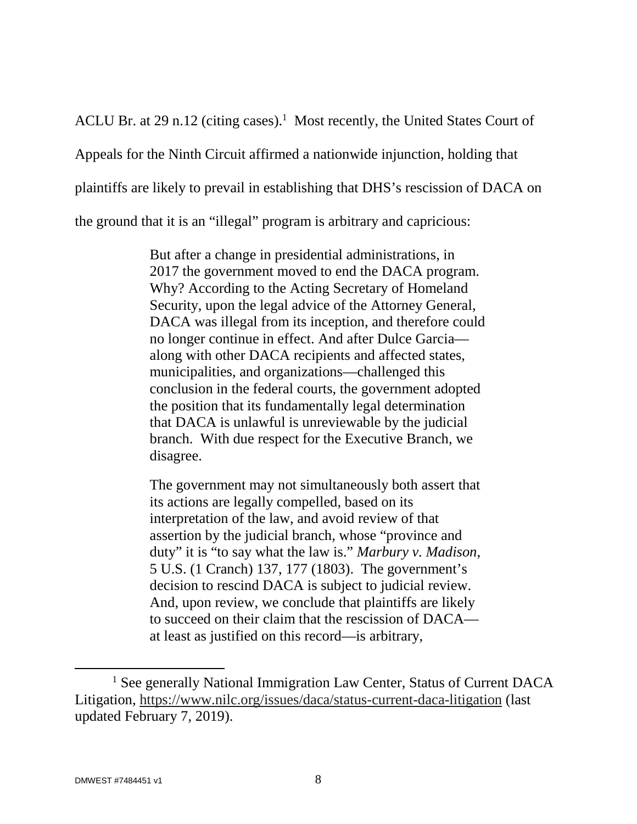ACLUBr. at 29 n.12 (citing cases).<sup>1</sup> Most recently, the United States Court of Appeals for the Ninth Circuit affirmed a nationwide injunction, holding that plaintiffs are likely to prevail in establishing that DHS's rescission of DACA on the ground that it is an "illegal" program is arbitrary and capricious:

> But after a change in presidential administrations, in 2017 the government moved to end the DACA program. Why? According to the Acting Secretary of Homeland Security, upon the legal advice of the Attorney General, DACA was illegal from its inception, and therefore could no longer continue in effect. And after Dulce Garcia along with other DACA recipients and affected states, municipalities, and organizations—challenged this conclusion in the federal courts, the government adopted the position that its fundamentally legal determination that DACA is unlawful is unreviewable by the judicial branch. With due respect for the Executive Branch, we disagree.

<span id="page-13-0"></span>The government may not simultaneously both assert that its actions are legally compelled, based on its interpretation of the law, and avoid review of that assertion by the judicial branch, whose "province and duty" it is "to say what the law is." *Marbury v. Madison*, 5 U.S. (1 Cranch) 137, 177 (1803). The government's decision to rescind DACA is subject to judicial review. And, upon review, we conclude that plaintiffs are likely to succeed on their claim that the rescission of DACA at least as justified on this record—is arbitrary,

<span id="page-13-1"></span><sup>&</sup>lt;sup>1</sup> See generally National Immigration Law Center, Status of Current DACA Litigation, https://www.nilc.org/issues/daca/status-current-daca-litigation (last updated February 7, 2019).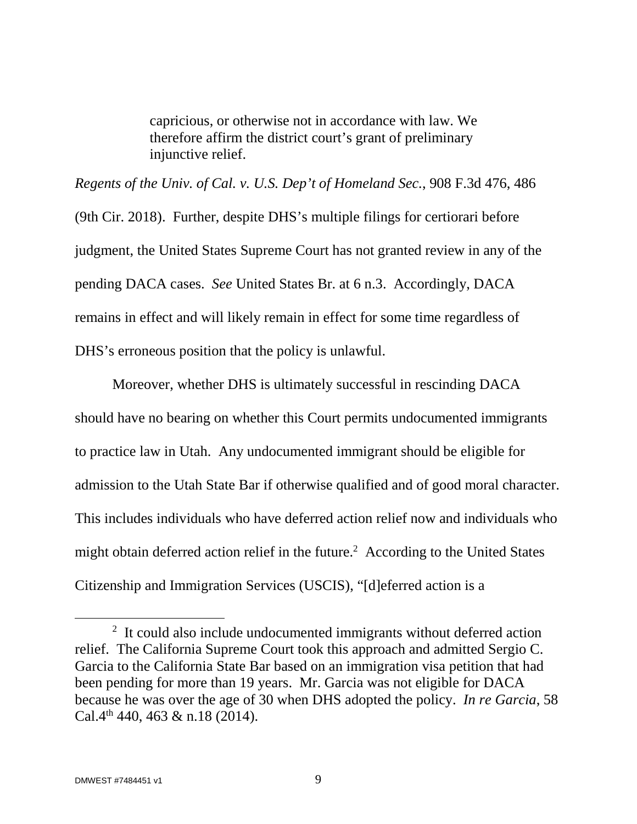capricious, or otherwise not in accordance with law. We therefore affirm the district court's grant of preliminary injunctive relief.

<span id="page-14-0"></span>*Regents of the Univ. of Cal. v. U.S. Dep't of Homeland Sec.*, 908 F.3d 476, 486 (9th Cir. 2018). Further, despite DHS's multiple filings for certiorari before judgment, the United States Supreme Court has not granted review in any of the pending DACA cases. *See* United States Br. at 6 n.3. Accordingly, DACA remains in effect and will likely remain in effect for some time regardless of DHS's erroneous position that the policy is unlawful.

Moreover, whether DHS is ultimately successful in rescinding DACA should have no bearing on whether this Court permits undocumented immigrants to practice law in Utah. Any undocumented immigrant should be eligible for admission to the Utah State Bar if otherwise qualified and of good moral character. This includes individuals who have deferred action relief now and individuals who might obtain deferred action relief in the future.<sup>[2](#page-14-2)</sup> According to the United States Citizenship and Immigration Services (USCIS), "[d]eferred action is a

<span id="page-14-2"></span><span id="page-14-1"></span><sup>&</sup>lt;sup>2</sup> It could also include undocumented immigrants without deferred action relief. The California Supreme Court took this approach and admitted Sergio C. Garcia to the California State Bar based on an immigration visa petition that had been pending for more than 19 years. Mr. Garcia was not eligible for DACA because he was over the age of 30 when DHS adopted the policy. *In re Garcia*, 58 Cal.4<sup>th</sup> 440, 463 & n.18 (2014).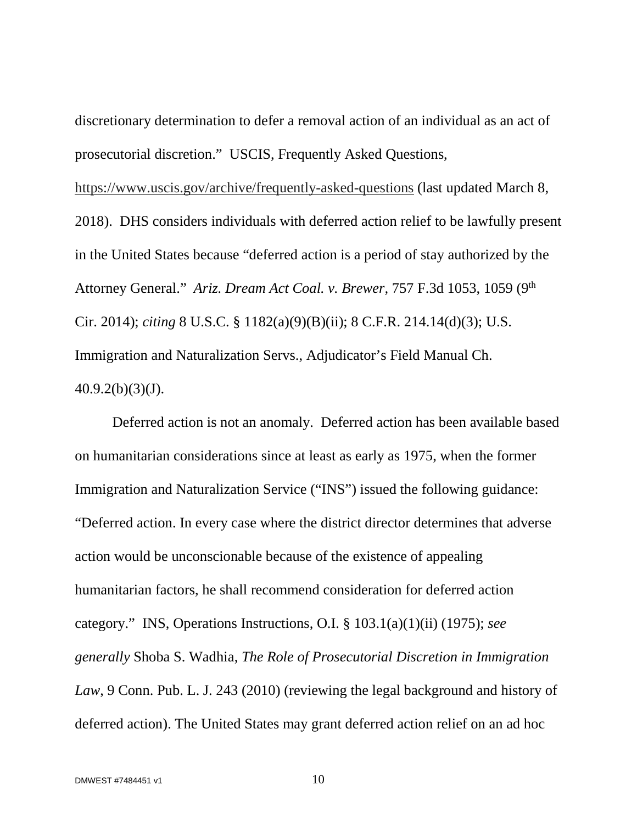<span id="page-15-2"></span>discretionary determination to defer a removal action of an individual as an act of prosecutorial discretion." USCIS, Frequently Asked Questions,

<span id="page-15-0"></span><https://www.uscis.gov/archive/frequently-asked-questions>(last updated March 8, 2018). DHS considers individuals with deferred action relief to be lawfully present in the United States because "deferred action is a period of stay authorized by the Attorney General." *Ariz. Dream Act Coal. v. Brewer,* 757 F.3d 1053, 1059 (9th Cir. 2014); *citing* 8 U.S.C. § 1182(a)(9)(B)(ii); 8 C.F.R. 214.14(d)(3); U.S. Immigration and Naturalization Servs., Adjudicator's Field Manual Ch.  $40.9.2(b)(3)(J).$ 

<span id="page-15-1"></span>Deferred action is not an anomaly. Deferred action has been available based on humanitarian considerations since at least as early as 1975, when the former Immigration and Naturalization Service ("INS") issued the following guidance: "Deferred action. In every case where the district director determines that adverse action would be unconscionable because of the existence of appealing humanitarian factors, he shall recommend consideration for deferred action category." INS, Operations Instructions, O.I. § 103.1(a)(1)(ii) (1975); *see generally* Shoba S. Wadhia, *The Role of Prosecutorial Discretion in Immigration Law*, 9 Conn. Pub. L. J. 243 (2010) (reviewing the legal background and history of deferred action). The United States may grant deferred action relief on an ad hoc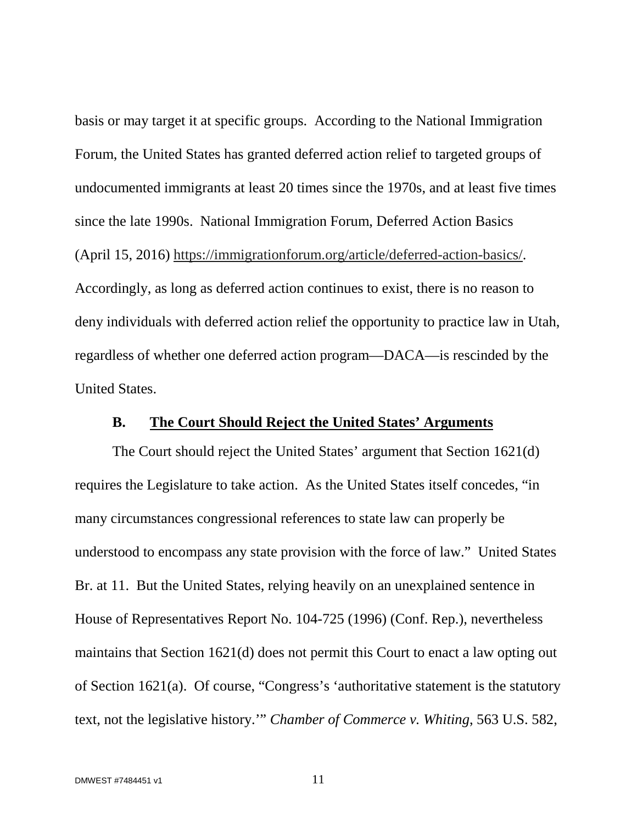<span id="page-16-2"></span>basis or may target it at specific groups. According to the National Immigration Forum, the United States has granted deferred action relief to targeted groups of undocumented immigrants at least 20 times since the 1970s, and at least five times since the late 1990s. National Immigration Forum, Deferred Action Basics (April 15, 2016) [https://immigrationforum.org/article/deferred-action-basics/.](https://immigrationforum.org/article/deferred-action-basics/) Accordingly, as long as deferred action continues to exist, there is no reason to deny individuals with deferred action relief the opportunity to practice law in Utah, regardless of whether one deferred action program—DACA—is rescinded by the United States.

## **B. The Court Should Reject the United States' Arguments**

<span id="page-16-1"></span>The Court should reject the United States' argument that Section 1621(d) requires the Legislature to take action. As the United States itself concedes, "in many circumstances congressional references to state law can properly be understood to encompass any state provision with the force of law." United States Br. at 11. But the United States, relying heavily on an unexplained sentence in House of Representatives Report No. 104-725 (1996) (Conf. Rep.), nevertheless maintains that Section 1621(d) does not permit this Court to enact a law opting out of Section 1621(a). Of course, "Congress's 'authoritative statement is the statutory text, not the legislative history.'" *Chamber of Commerce v. Whiting*, 563 U.S. 582,

<span id="page-16-0"></span>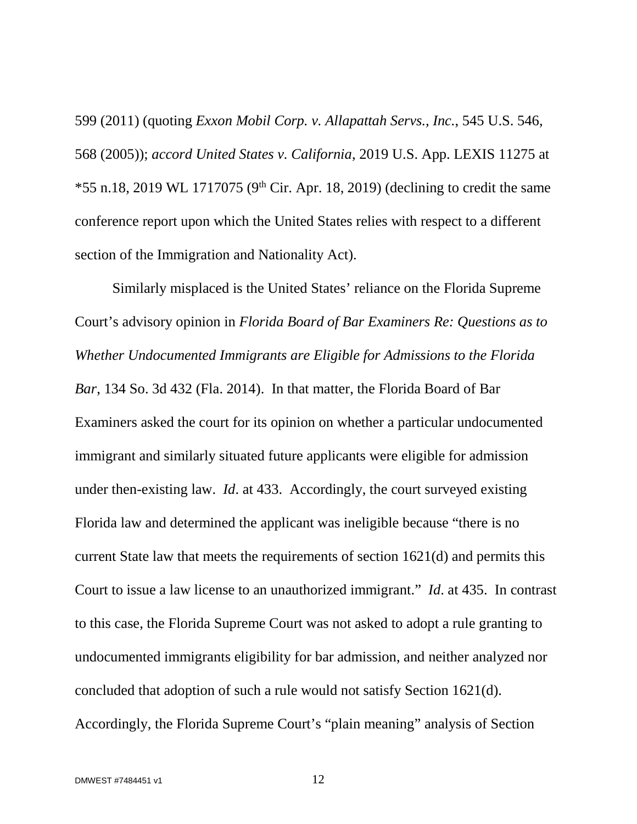<span id="page-17-0"></span>599 (2011) (quoting *Exxon Mobil Corp. v. Allapattah Servs., Inc.*, 545 U.S. 546, 568 (2005)); *accord United States v. California*, 2019 U.S. App. LEXIS 11275 at  $*55$  n.18, 2019 WL 1717075 (9<sup>th</sup> Cir. Apr. 18, 2019) (declining to credit the same conference report upon which the United States relies with respect to a different section of the Immigration and Nationality Act).

<span id="page-17-1"></span>Similarly misplaced is the United States' reliance on the Florida Supreme Court's advisory opinion in *Florida Board of Bar Examiners Re: Questions as to Whether Undocumented Immigrants are Eligible for Admissions to the Florida Bar*, 134 So. 3d 432 (Fla. 2014). In that matter, the Florida Board of Bar Examiners asked the court for its opinion on whether a particular undocumented immigrant and similarly situated future applicants were eligible for admission under then-existing law. *Id*. at 433. Accordingly, the court surveyed existing Florida law and determined the applicant was ineligible because "there is no current State law that meets the requirements of section 1621(d) and permits this Court to issue a law license to an unauthorized immigrant." *Id*. at 435. In contrast to this case, the Florida Supreme Court was not asked to adopt a rule granting to undocumented immigrants eligibility for bar admission, and neither analyzed nor concluded that adoption of such a rule would not satisfy Section 1621(d). Accordingly, the Florida Supreme Court's "plain meaning" analysis of Section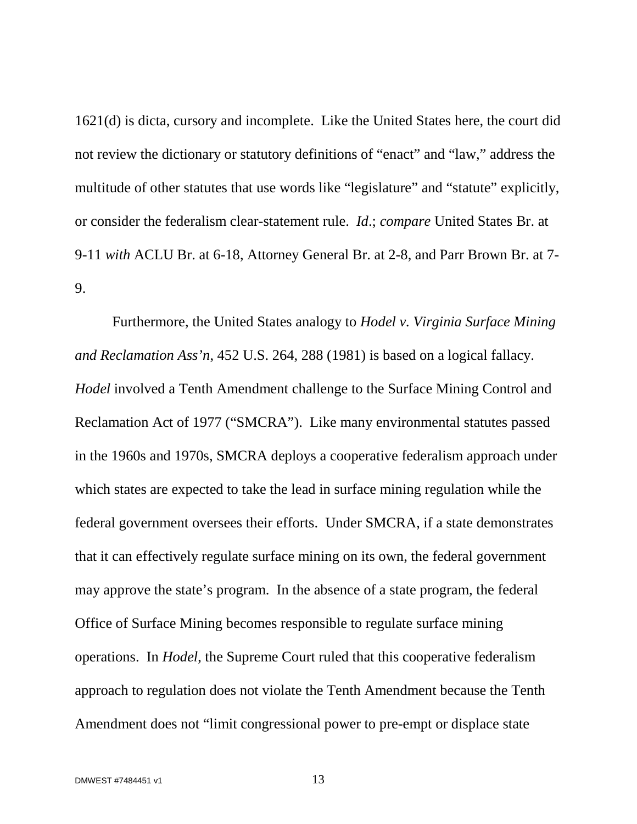1621(d) is dicta, cursory and incomplete. Like the United States here, the court did not review the dictionary or statutory definitions of "enact" and "law," address the multitude of other statutes that use words like "legislature" and "statute" explicitly, or consider the federalism clear-statement rule. *Id*.; *compare* United States Br. at 9-11 *with* ACLU Br. at 6-18, Attorney General Br. at 2-8, and Parr Brown Br. at 7- 9.

<span id="page-18-0"></span>Furthermore, the United States analogy to *Hodel v. Virginia Surface Mining and Reclamation Ass'n*, 452 U.S. 264, 288 (1981) is based on a logical fallacy. *Hodel* involved a Tenth Amendment challenge to the Surface Mining Control and Reclamation Act of 1977 ("SMCRA"). Like many environmental statutes passed in the 1960s and 1970s, SMCRA deploys a cooperative federalism approach under which states are expected to take the lead in surface mining regulation while the federal government oversees their efforts. Under SMCRA, if a state demonstrates that it can effectively regulate surface mining on its own, the federal government may approve the state's program. In the absence of a state program, the federal Office of Surface Mining becomes responsible to regulate surface mining operations. In *Hodel*, the Supreme Court ruled that this cooperative federalism approach to regulation does not violate the Tenth Amendment because the Tenth Amendment does not "limit congressional power to pre-empt or displace state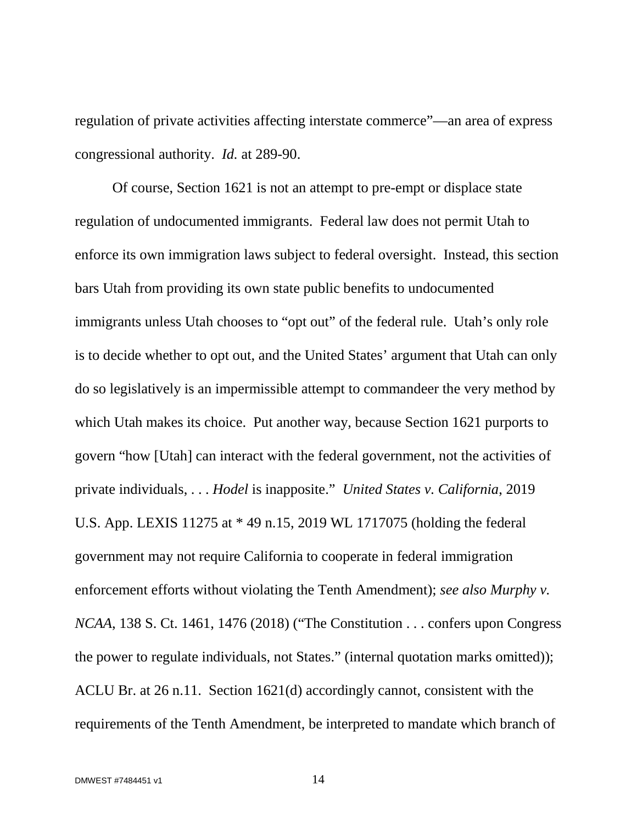regulation of private activities affecting interstate commerce"—an area of express congressional authority. *Id.* at 289-90.

<span id="page-19-2"></span><span id="page-19-1"></span><span id="page-19-0"></span>Of course, Section 1621 is not an attempt to pre-empt or displace state regulation of undocumented immigrants. Federal law does not permit Utah to enforce its own immigration laws subject to federal oversight. Instead, this section bars Utah from providing its own state public benefits to undocumented immigrants unless Utah chooses to "opt out" of the federal rule. Utah's only role is to decide whether to opt out, and the United States' argument that Utah can only do so legislatively is an impermissible attempt to commandeer the very method by which Utah makes its choice. Put another way, because Section 1621 purports to govern "how [Utah] can interact with the federal government, not the activities of private individuals, . . . *Hodel* is inapposite." *United States v. California*, 2019 U.S. App. LEXIS 11275 at \* 49 n.15, 2019 WL 1717075 (holding the federal government may not require California to cooperate in federal immigration enforcement efforts without violating the Tenth Amendment); *see also Murphy v. NCAA*, 138 S. Ct. 1461, 1476 (2018) ("The Constitution . . . confers upon Congress the power to regulate individuals, not States." (internal quotation marks omitted)); ACLU Br. at 26 n.11. Section 1621(d) accordingly cannot, consistent with the requirements of the Tenth Amendment, be interpreted to mandate which branch of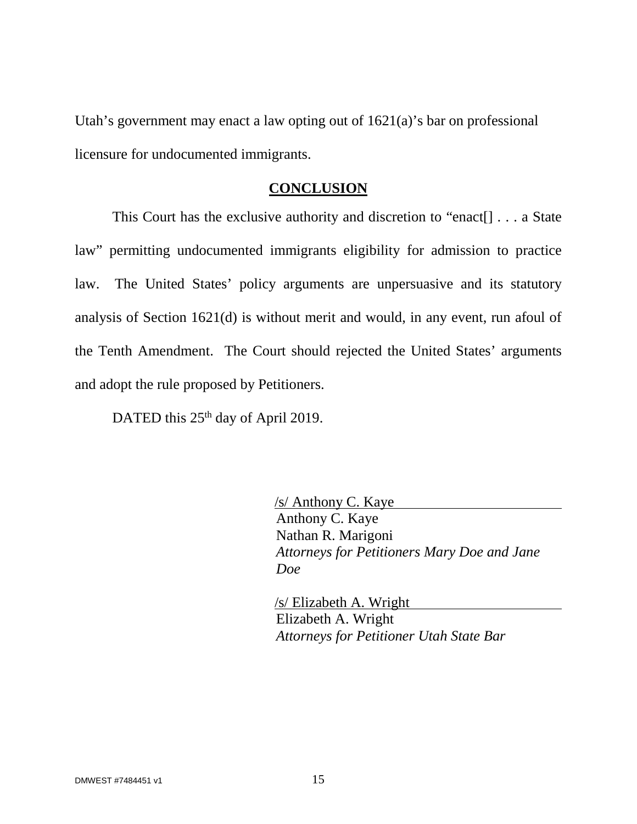Utah's government may enact a law opting out of  $1621(a)$ 's bar on professional licensure for undocumented immigrants.

## **CONCLUSION**

This Court has the exclusive authority and discretion to "enact[] . . . a State law" permitting undocumented immigrants eligibility for admission to practice law. The United States' policy arguments are unpersuasive and its statutory analysis of Section 1621(d) is without merit and would, in any event, run afoul of the Tenth Amendment. The Court should rejected the United States' arguments and adopt the rule proposed by Petitioners.

DATED this 25<sup>th</sup> day of April 2019.

/s/ Anthony C. Kaye Anthony C. Kaye Nathan R. Marigoni *Attorneys for Petitioners Mary Doe and Jane Doe* 

/s/ Elizabeth A. Wright Elizabeth A. Wright *Attorneys for Petitioner Utah State Bar*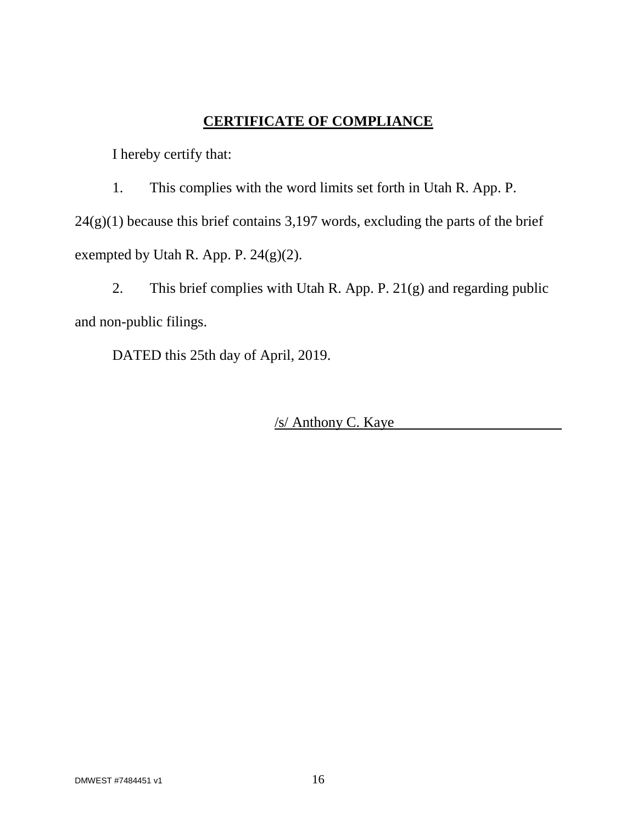## **CERTIFICATE OF COMPLIANCE**

I hereby certify that:

1. This complies with the word limits set forth in Utah R. App. P.  $24(g)(1)$  because this brief contains 3,197 words, excluding the parts of the brief exempted by Utah R. App. P. 24(g)(2).

2. This brief complies with Utah R. App. P. 21(g) and regarding public and non-public filings.

DATED this 25th day of April, 2019.

/s/ Anthony C. Kaye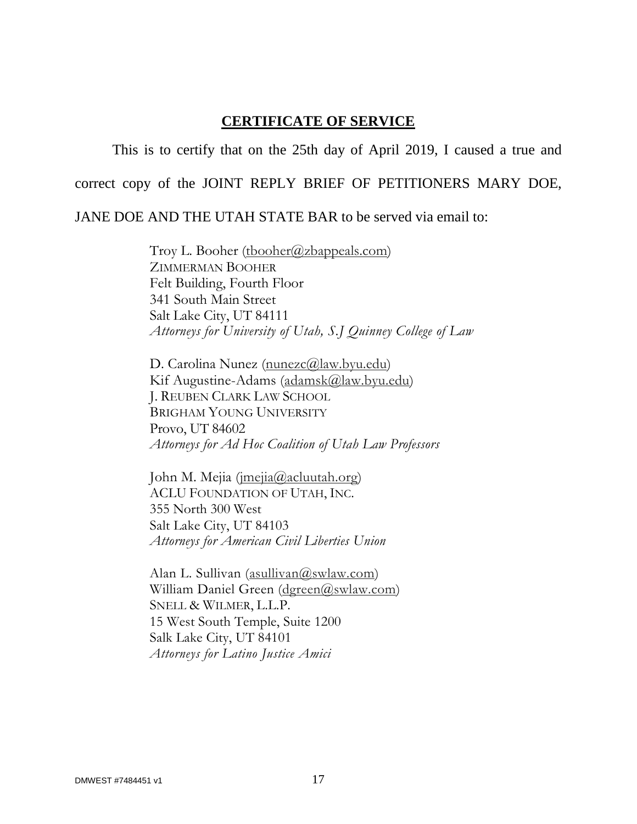## **CERTIFICATE OF SERVICE**

This is to certify that on the 25th day of April 2019, I caused a true and

correct copy of the JOINT REPLY BRIEF OF PETITIONERS MARY DOE,

JANE DOE AND THE UTAH STATE BAR to be served via email to:

Troy L. Booher (thooher@zbappeals.com) ZIMMERMAN BOOHER Felt Building, Fourth Floor 341 South Main Street Salt Lake City, UT 84111 *Attorneys for University of Utah, S.J Quinney College of Law* 

D. Carolina Nunez [\(nunezc@law.byu.edu\)](mailto:nunezc@law.byu.edu) Kif Augustine-Adams [\(adamsk@law.byu.edu\)](mailto:adamsk@law.byu.edu) J. REUBEN CLARK LAW SCHOOL BRIGHAM YOUNG UNIVERSITY Provo, UT 84602 *Attorneys for Ad Hoc Coalition of Utah Law Professors* 

John M. Mejia ([jmejia@acluutah.org\)](mailto:jmejia@acluutah.org) ACLU FOUNDATION OF UTAH, INC. 355 North 300 West Salt Lake City, UT 84103 *Attorneys for American Civil Liberties Union* 

Alan L. Sullivan ([asullivan@swlaw.com](mailto:asullivan@swlaw.com)) William Daniel Green [\(dgreen@swlaw.com\)](mailto:dgreen@swlaw.com) SNELL & WILMER, L.L.P. 15 West South Temple, Suite 1200 Salk Lake City, UT 84101 *Attorneys for Latino Justice Amici*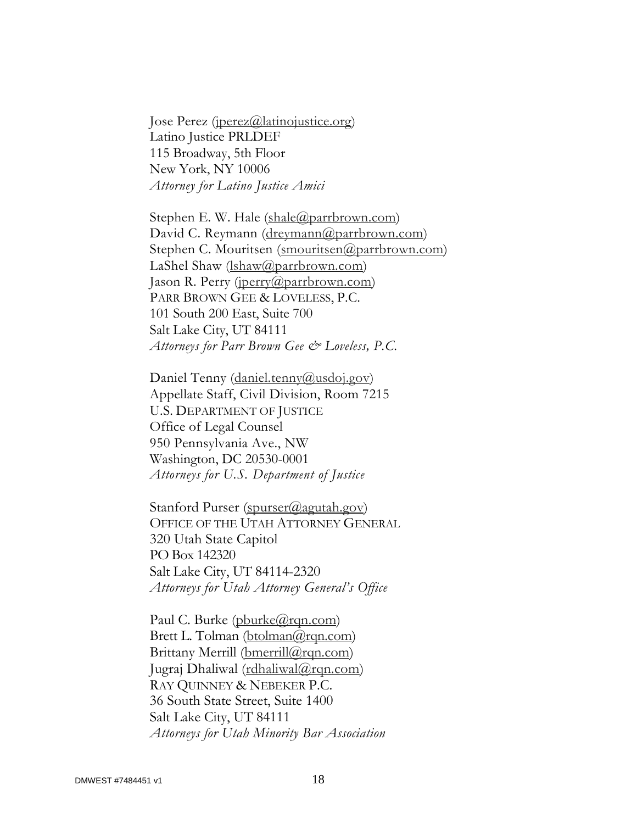Jose Perez (*jperez@latinojustice.org*) Latino Justice PRLDEF 115 Broadway, 5th Floor New York, NY 10006 *Attorney for Latino Justice Amici* 

Stephen E. W. Hale ([shale@parrbrown.com\)](mailto:shale@parrbrown.com) David C. Reymann ([dreymann@parrbrown.com](mailto:dreymann@parrbrown.com)) Stephen C. Mouritsen ([smouritsen@parrbrown.com](mailto:smouritsen@parrbrown.com)) LaShel Shaw (*[lshaw@parrbrown.com](mailto:lshaw@parrbrown.com)*) Jason R. Perry [\(jperry@parrbrown.com](mailto:jperry@parrbrown.com)) PARR BROWN GEE & LOVELESS, P.C. 101 South 200 East, Suite 700 Salt Lake City, UT 84111 *Attorneys for Parr Brown Gee & Loveless, P.C.* 

Daniel Tenny [\(daniel.tenny@usdoj.gov](mailto:daniel.tenny@usdoj.gov)) Appellate Staff, Civil Division, Room 7215 U.S. DEPARTMENT OF JUSTICE Office of Legal Counsel 950 Pennsylvania Ave., NW Washington, DC 20530-0001 *Attorneys for U.S. Department of Justice* 

Stanford Purser ([spurser@agutah.gov\)](mailto:spurser@agutah.gov) OFFICE OF THE UTAH ATTORNEY GENERAL 320 Utah State Capitol PO Box 142320 Salt Lake City, UT 84114-2320 *Attorneys for Utah Attorney General's Office* 

Paul C. Burke ([pburke@rqn.com](mailto:pburke@rqn.com)) Brett L. Tolman [\(btolman@rqn.com\)](mailto:btolman@rqn.com) Brittany Merrill (bmerrill $(\partial_{r}q_{n}$ .com) Jugraj Dhaliwal ([rdhaliwal@rqn.com\)](mailto:rdhaliwal@rqn.com) RAY QUINNEY & NEBEKER P.C. 36 South State Street, Suite 1400 Salt Lake City, UT 84111 *Attorneys for Utah Minority Bar Association*